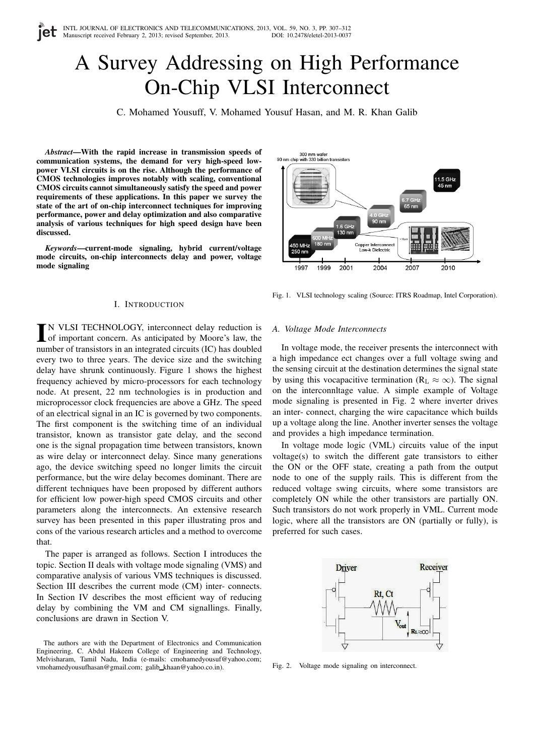# A Survey Addressing on High Performance On-Chip VLSI Interconnect

C. Mohamed Yousuff, V. Mohamed Yousuf Hasan, and M. R. Khan Galib

*Abstract***—With the rapid increase in transmission speeds of communication systems, the demand for very high-speed lowpower VLSI circuits is on the rise. Although the performance of CMOS technologies improves notably with scaling, conventional CMOS circuits cannot simultaneously satisfy the speed and power requirements of these applications. In this paper we survey the state of the art of on-chip interconnect techniques for improving performance, power and delay optimization and also comparative analysis of various techniques for high speed design have been discussed.**

*Keywords***—current-mode signaling, hybrid current/voltage mode circuits, on-chip interconnects delay and power, voltage mode signaling**

## I. INTRODUCTION

IN VLSI TECHNOLOGY, interconnect delay reduction is of important concern. As anticipated by Moore's law, the number of transistors in an integrated circuits (IC) has doubled N VLSI TECHNOLOGY, interconnect delay reduction is of important concern. As anticipated by Moore's law, the every two to three years. The device size and the switching delay have shrunk continuously. Figure 1 shows the highest frequency achieved by micro-processors for each technology node. At present, 22 nm technologies is in production and microprocessor clock frequencies are above a GHz. The speed of an electrical signal in an IC is governed by two components. The first component is the switching time of an individual transistor, known as transistor gate delay, and the second one is the signal propagation time between transistors, known as wire delay or interconnect delay. Since many generations ago, the device switching speed no longer limits the circuit performance, but the wire delay becomes dominant. There are different techniques have been proposed by different authors for efficient low power-high speed CMOS circuits and other parameters along the interconnects. An extensive research survey has been presented in this paper illustrating pros and cons of the various research articles and a method to overcome that.

The paper is arranged as follows. Section I introduces the topic. Section II deals with voltage mode signaling (VMS) and comparative analysis of various VMS techniques is discussed. Section III describes the current mode (CM) inter- connects. In Section IV describes the most efficient way of reducing delay by combining the VM and CM signallings. Finally, conclusions are drawn in Section V.



Fig. 1. VLSI technology scaling (Source: ITRS Roadmap, Intel Corporation).

#### *A. Voltage Mode Interconnects*

In voltage mode, the receiver presents the interconnect with a high impedance ect changes over a full voltage swing and the sensing circuit at the destination determines the signal state by using this vocapacitive termination ( $R_L \approx \infty$ ). The signal on the interconnltage value. A simple example of Voltage mode signaling is presented in Fig. 2 where inverter drives an inter- connect, charging the wire capacitance which builds up a voltage along the line. Another inverter senses the voltage and provides a high impedance termination.

In voltage mode logic (VML) circuits value of the input voltage(s) to switch the different gate transistors to either the ON or the OFF state, creating a path from the output node to one of the supply rails. This is different from the reduced voltage swing circuits, where some transistors are completely ON while the other transistors are partially ON. Such transistors do not work properly in VML. Current mode logic, where all the transistors are ON (partially or fully), is preferred for such cases.



Fig. 2. Voltage mode signaling on interconnect.

The authors are with the Department of Electronics and Communication Engineering, C. Abdul Hakeem College of Engineering and Technology, Melvisharam, Tamil Nadu, India (e-mails: cmohamedyousuf@yahoo.com; vmohamedyousufhasan@gmail.com; galib\_khaan@yahoo.co.in).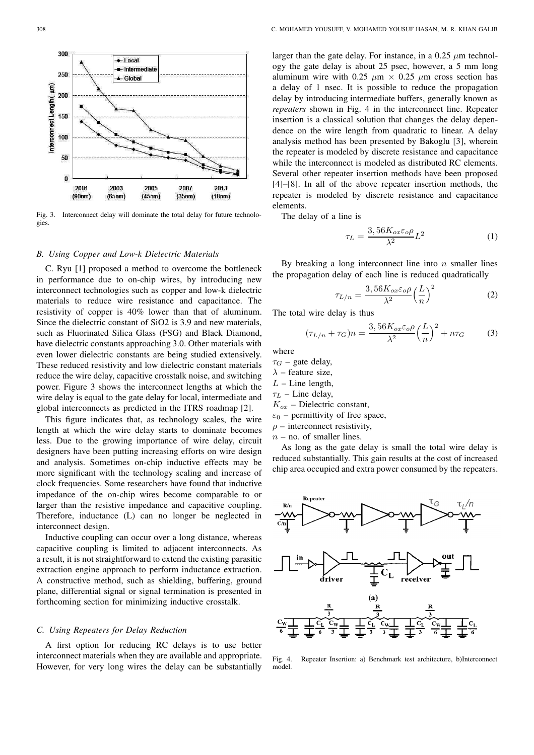

Fig. 3. Interconnect delay will dominate the total delay for future technologies.

## *B. Using Copper and Low-k Dielectric Materials*

C. Ryu [1] proposed a method to overcome the bottleneck in performance due to on-chip wires, by introducing new interconnect technologies such as copper and low-k dielectric materials to reduce wire resistance and capacitance. The resistivity of copper is 40% lower than that of aluminum. Since the dielectric constant of SiO2 is 3.9 and new materials, such as Fluorinated Silica Glass (FSG) and Black Diamond, have dielectric constants approaching 3.0. Other materials with even lower dielectric constants are being studied extensively. These reduced resistivity and low dielectric constant materials reduce the wire delay, capacitive crosstalk noise, and switching power. Figure 3 shows the interconnect lengths at which the wire delay is equal to the gate delay for local, intermediate and global interconnects as predicted in the ITRS roadmap [2].

This figure indicates that, as technology scales, the wire length at which the wire delay starts to dominate becomes less. Due to the growing importance of wire delay, circuit designers have been putting increasing efforts on wire design and analysis. Sometimes on-chip inductive effects may be more significant with the technology scaling and increase of clock frequencies. Some researchers have found that inductive impedance of the on-chip wires become comparable to or larger than the resistive impedance and capacitive coupling. Therefore, inductance (L) can no longer be neglected in interconnect design.

Inductive coupling can occur over a long distance, whereas capacitive coupling is limited to adjacent interconnects. As a result, it is not straightforward to extend the existing parasitic extraction engine approach to perform inductance extraction. A constructive method, such as shielding, buffering, ground plane, differential signal or signal termination is presented in forthcoming section for minimizing inductive crosstalk.

## *C. Using Repeaters for Delay Reduction*

A first option for reducing RC delays is to use better interconnect materials when they are available and appropriate. However, for very long wires the delay can be substantially

larger than the gate delay. For instance, in a 0.25  $\mu$ m technology the gate delay is about 25 psec, however, a 5 mm long aluminum wire with 0.25  $\mu$ m  $\times$  0.25  $\mu$ m cross section has a delay of 1 nsec. It is possible to reduce the propagation delay by introducing intermediate buffers, generally known as *repeaters* shown in Fig. 4 in the interconnect line. Repeater insertion is a classical solution that changes the delay dependence on the wire length from quadratic to linear. A delay analysis method has been presented by Bakoglu [3], wherein the repeater is modeled by discrete resistance and capacitance while the interconnect is modeled as distributed RC elements. Several other repeater insertion methods have been proposed [4]–[8]. In all of the above repeater insertion methods, the repeater is modeled by discrete resistance and capacitance elements.

The delay of a line is

$$
\tau_L = \frac{3,56K_{ox}\varepsilon_o\rho}{\lambda^2}L^2\tag{1}
$$

By breaking a long interconnect line into  $n$  smaller lines the propagation delay of each line is reduced quadratically

$$
\tau_{L/n} = \frac{3,56K_{ox}\varepsilon_o \rho}{\lambda^2} \left(\frac{L}{n}\right)^2 \tag{2}
$$

The total wire delay is thus

$$
(\tau_{L/n} + \tau_G)n = \frac{3,56K_{ox}\varepsilon_o\rho}{\lambda^2} \left(\frac{L}{n}\right)^2 + n\tau_G \tag{3}
$$

where

- $\tau_G$  gate delay,  $\lambda$  – feature size.
- $L$  Line length,

 $\tau_L$  – Line delay,

 $K_{ox}$  – Dielectric constant,

 $\varepsilon_0$  – permittivity of free space,

 $\rho$  – interconnect resistivity,

 $n - no$ . of smaller lines.

As long as the gate delay is small the total wire delay is reduced substantially. This gain results at the cost of increased chip area occupied and extra power consumed by the repeaters.



Fig. 4. Repeater Insertion: a) Benchmark test architecture, b)Interconnect model.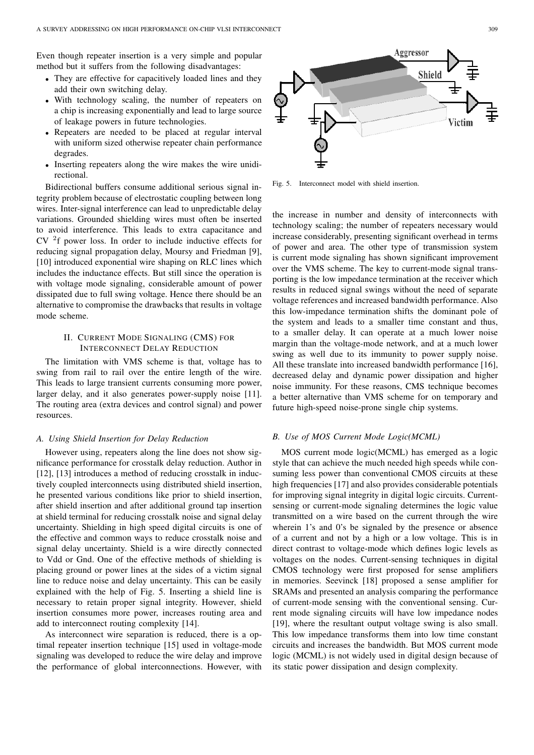Even though repeater insertion is a very simple and popular method but it suffers from the following disadvantages:

- They are effective for capacitively loaded lines and they add their own switching delay.
- With technology scaling, the number of repeaters on a chip is increasing exponentially and lead to large source of leakage powers in future technologies.
- Repeaters are needed to be placed at regular interval with uniform sized otherwise repeater chain performance degrades.
- Inserting repeaters along the wire makes the wire unidirectional.

Bidirectional buffers consume additional serious signal integrity problem because of electrostatic coupling between long wires. Inter-signal interference can lead to unpredictable delay variations. Grounded shielding wires must often be inserted to avoid interference. This leads to extra capacitance and CV <sup>2</sup> f power loss. In order to include inductive effects for reducing signal propagation delay, Moursy and Friedman [9], [10] introduced exponential wire shaping on RLC lines which includes the inductance effects. But still since the operation is with voltage mode signaling, considerable amount of power dissipated due to full swing voltage. Hence there should be an alternative to compromise the drawbacks that results in voltage mode scheme.

## II. CURRENT MODE SIGNALING (CMS) FOR INTERCONNECT DELAY REDUCTION

The limitation with VMS scheme is that, voltage has to swing from rail to rail over the entire length of the wire. This leads to large transient currents consuming more power, larger delay, and it also generates power-supply noise [11]. The routing area (extra devices and control signal) and power resources.

#### *A. Using Shield Insertion for Delay Reduction*

However using, repeaters along the line does not show significance performance for crosstalk delay reduction. Author in [12], [13] introduces a method of reducing crosstalk in inductively coupled interconnects using distributed shield insertion, he presented various conditions like prior to shield insertion, after shield insertion and after additional ground tap insertion at shield terminal for reducing crosstalk noise and signal delay uncertainty. Shielding in high speed digital circuits is one of the effective and common ways to reduce crosstalk noise and signal delay uncertainty. Shield is a wire directly connected to Vdd or Gnd. One of the effective methods of shielding is placing ground or power lines at the sides of a victim signal line to reduce noise and delay uncertainty. This can be easily explained with the help of Fig. 5. Inserting a shield line is necessary to retain proper signal integrity. However, shield insertion consumes more power, increases routing area and add to interconnect routing complexity [14].

As interconnect wire separation is reduced, there is a optimal repeater insertion technique [15] used in voltage-mode signaling was developed to reduce the wire delay and improve the performance of global interconnections. However, with



Fig. 5. Interconnect model with shield insertion.

the increase in number and density of interconnects with technology scaling; the number of repeaters necessary would increase considerably, presenting significant overhead in terms of power and area. The other type of transmission system is current mode signaling has shown significant improvement over the VMS scheme. The key to current-mode signal transporting is the low impedance termination at the receiver which results in reduced signal swings without the need of separate voltage references and increased bandwidth performance. Also this low-impedance termination shifts the dominant pole of the system and leads to a smaller time constant and thus, to a smaller delay. It can operate at a much lower noise margin than the voltage-mode network, and at a much lower swing as well due to its immunity to power supply noise. All these translate into increased bandwidth performance [16], decreased delay and dynamic power dissipation and higher noise immunity. For these reasons, CMS technique becomes a better alternative than VMS scheme for on temporary and future high-speed noise-prone single chip systems.

## *B. Use of MOS Current Mode Logic(MCML)*

MOS current mode logic(MCML) has emerged as a logic style that can achieve the much needed high speeds while consuming less power than conventional CMOS circuits at these high frequencies [17] and also provides considerable potentials for improving signal integrity in digital logic circuits. Currentsensing or current-mode signaling determines the logic value transmitted on a wire based on the current through the wire wherein 1's and 0's be signaled by the presence or absence of a current and not by a high or a low voltage. This is in direct contrast to voltage-mode which defines logic levels as voltages on the nodes. Current-sensing techniques in digital CMOS technology were first proposed for sense amplifiers in memories. Seevinck [18] proposed a sense amplifier for SRAMs and presented an analysis comparing the performance of current-mode sensing with the conventional sensing. Current mode signaling circuits will have low impedance nodes [19], where the resultant output voltage swing is also small. This low impedance transforms them into low time constant circuits and increases the bandwidth. But MOS current mode logic (MCML) is not widely used in digital design because of its static power dissipation and design complexity.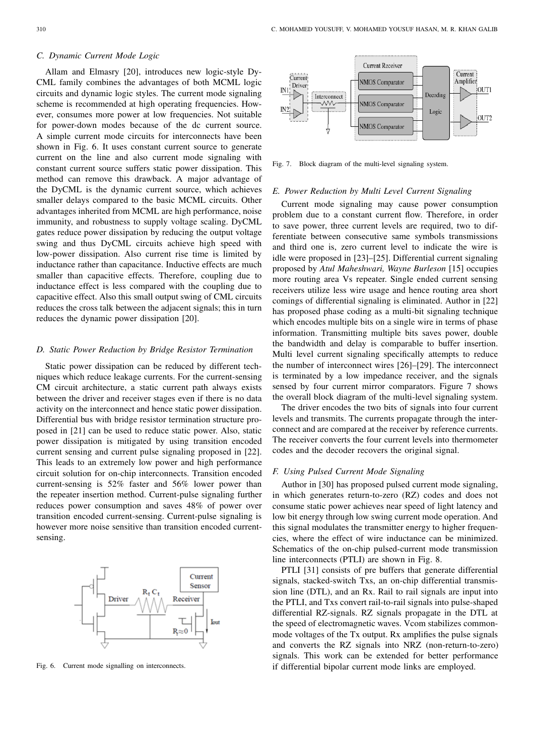## *C. Dynamic Current Mode Logic*

Allam and Elmasry [20], introduces new logic-style Dy-CML family combines the advantages of both MCML logic circuits and dynamic logic styles. The current mode signaling scheme is recommended at high operating frequencies. However, consumes more power at low frequencies. Not suitable for power-down modes because of the dc current source. A simple current mode circuits for interconnects have been shown in Fig. 6. It uses constant current source to generate current on the line and also current mode signaling with constant current source suffers static power dissipation. This method can remove this drawback. A major advantage of the DyCML is the dynamic current source, which achieves smaller delays compared to the basic MCML circuits. Other advantages inherited from MCML are high performance, noise immunity, and robustness to supply voltage scaling. DyCML gates reduce power dissipation by reducing the output voltage swing and thus DyCML circuits achieve high speed with low-power dissipation. Also current rise time is limited by inductance rather than capacitance. Inductive effects are much smaller than capacitive effects. Therefore, coupling due to inductance effect is less compared with the coupling due to capacitive effect. Also this small output swing of CML circuits reduces the cross talk between the adjacent signals; this in turn reduces the dynamic power dissipation [20].

## *D. Static Power Reduction by Bridge Resistor Termination*

Static power dissipation can be reduced by different techniques which reduce leakage currents. For the current-sensing CM circuit architecture, a static current path always exists between the driver and receiver stages even if there is no data activity on the interconnect and hence static power dissipation. Differential bus with bridge resistor termination structure proposed in [21] can be used to reduce static power. Also, static power dissipation is mitigated by using transition encoded current sensing and current pulse signaling proposed in [22]. This leads to an extremely low power and high performance circuit solution for on-chip interconnects. Transition encoded current-sensing is 52% faster and 56% lower power than the repeater insertion method. Current-pulse signaling further reduces power consumption and saves 48% of power over transition encoded current-sensing. Current-pulse signaling is however more noise sensitive than transition encoded currentsensing.



Fig. 6. Current mode signalling on interconnects.



Fig. 7. Block diagram of the multi-level signaling system.

#### *E. Power Reduction by Multi Level Current Signaling*

Current mode signaling may cause power consumption problem due to a constant current flow. Therefore, in order to save power, three current levels are required, two to differentiate between consecutive same symbols transmissions and third one is, zero current level to indicate the wire is idle were proposed in [23]–[25]. Differential current signaling proposed by *Atul Maheshwari, Wayne Burleson* [15] occupies more routing area Vs repeater. Single ended current sensing receivers utilize less wire usage and hence routing area short comings of differential signaling is eliminated. Author in [22] has proposed phase coding as a multi-bit signaling technique which encodes multiple bits on a single wire in terms of phase information. Transmitting multiple bits saves power, double the bandwidth and delay is comparable to buffer insertion. Multi level current signaling specifically attempts to reduce the number of interconnect wires [26]–[29]. The interconnect is terminated by a low impedance receiver, and the signals sensed by four current mirror comparators. Figure 7 shows the overall block diagram of the multi-level signaling system.

The driver encodes the two bits of signals into four current levels and transmits. The currents propagate through the interconnect and are compared at the receiver by reference currents. The receiver converts the four current levels into thermometer codes and the decoder recovers the original signal.

## *F. Using Pulsed Current Mode Signaling*

Author in [30] has proposed pulsed current mode signaling, in which generates return-to-zero (RZ) codes and does not consume static power achieves near speed of light latency and low bit energy through low swing current mode operation. And this signal modulates the transmitter energy to higher frequencies, where the effect of wire inductance can be minimized. Schematics of the on-chip pulsed-current mode transmission line interconnects (PTLI) are shown in Fig. 8.

PTLI [31] consists of pre buffers that generate differential signals, stacked-switch Txs, an on-chip differential transmission line (DTL), and an Rx. Rail to rail signals are input into the PTLI, and Txs convert rail-to-rail signals into pulse-shaped differential RZ-signals. RZ signals propagate in the DTL at the speed of electromagnetic waves. Vcom stabilizes commonmode voltages of the Tx output. Rx amplifies the pulse signals and converts the RZ signals into NRZ (non-return-to-zero) signals. This work can be extended for better performance if differential bipolar current mode links are employed.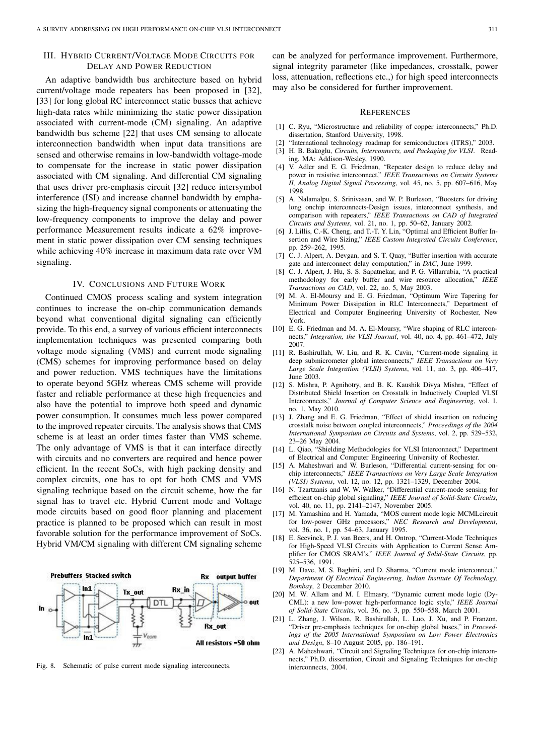# III. HYBRID CURRENT/VOLTAGE MODE CIRCUITS FOR DELAY AND POWER REDUCTION

An adaptive bandwidth bus architecture based on hybrid current/voltage mode repeaters has been proposed in [32], [33] for long global RC interconnect static busses that achieve high-data rates while minimizing the static power dissipation associated with current-mode (CM) signaling. An adaptive bandwidth bus scheme [22] that uses CM sensing to allocate interconnection bandwidth when input data transitions are sensed and otherwise remains in low-bandwidth voltage-mode to compensate for the increase in static power dissipation associated with CM signaling. And differential CM signaling that uses driver pre-emphasis circuit [32] reduce intersymbol interference (ISI) and increase channel bandwidth by emphasizing the high-frequency signal components or attenuating the low-frequency components to improve the delay and power performance Measurement results indicate a 62% improvement in static power dissipation over CM sensing techniques while achieving 40% increase in maximum data rate over VM signaling.

## IV. CONCLUSIONS AND FUTURE WORK

Continued CMOS process scaling and system integration continues to increase the on-chip communication demands beyond what conventional digital signaling can efficiently provide. To this end, a survey of various efficient interconnects implementation techniques was presented comparing both voltage mode signaling (VMS) and current mode signaling (CMS) schemes for improving performance based on delay and power reduction. VMS techniques have the limitations to operate beyond 5GHz whereas CMS scheme will provide faster and reliable performance at these high frequencies and also have the potential to improve both speed and dynamic power consumption. It consumes much less power compared to the improved repeater circuits. The analysis shows that CMS scheme is at least an order times faster than VMS scheme. The only advantage of VMS is that it can interface directly with circuits and no converters are required and hence power efficient. In the recent SoCs, with high packing density and complex circuits, one has to opt for both CMS and VMS signaling technique based on the circuit scheme, how the far signal has to travel etc. Hybrid Current mode and Voltage mode circuits based on good floor planning and placement practice is planned to be proposed which can result in most favorable solution for the performance improvement of SoCs. Hybrid VM/CM signaling with different CM signaling scheme



Fig. 8. Schematic of pulse current mode signaling interconnects.

can be analyzed for performance improvement. Furthermore, signal integrity parameter (like impedances, crosstalk, power loss, attenuation, reflections etc.,) for high speed interconnects may also be considered for further improvement.

#### **REFERENCES**

- [1] C. Ryu, "Microstructure and reliability of copper interconnects," Ph.D. dissertation, Stanford University, 1998.
- "International technology roadmap for semiconductors (ITRS)," 2003.
- [3] H. B. Bakoglu, *Circuits, Interconnects, and Packaging for VLSI*. Reading, MA: Addison-Wesley, 1990.
- [4] V. Adler and E. G. Friedman, "Repeater design to reduce delay and power in resistive interconnect," *IEEE Transactions on Circuits Systems II, Analog Digital Signal Processing*, vol. 45, no. 5, pp. 607–616, May 1998.
- [5] A. Nalamalpu, S. Srinivasan, and W. P. Burleson, "Boosters for driving long onchip interconnects-Design issues, interconnect synthesis, and comparison with repeaters," *IEEE Transactions on CAD of Integrated Circuits and Systems*, vol. 21, no. 1, pp. 50–62, January 2002.
- [6] J. Lillis, C.-K. Cheng, and T.-T. Y. Lin, "Optimal and Efficient Buffer Insertion and Wire Sizing," *IEEE Custom Integrated Circuits Conference*, pp. 259–262, 1995.
- [7] C. J. Alpert, A. Devgan, and S. T. Quay, "Buffer insertion with accurate gate and interconnect delay computation," in *DAC*, June 1999.
- [8] C. J. Alpert, J. Hu, S. S. Sapatnekar, and P. G. Villarrubia, "A practical methodology for early buffer and wire resource allocation," *IEEE Transactions on CAD*, vol. 22, no. 5, May 2003.
- [9] M. A. El-Moursy and E. G. Friedman, "Optimum Wire Tapering for Minimum Power Dissipation in RLC Interconnects," Department of Electrical and Computer Engineering University of Rochester, New York.
- [10] E. G. Friedman and M. A. El-Moursy, "Wire shaping of RLC interconnects," *Integration, the VLSI Journal*, vol. 40, no. 4, pp. 461–472, July 2007.
- [11] R. Bashirullah, W. Liu, and R. K. Cavin, "Current-mode signaling in deep submicrometer global interconnects," *IEEE Transactions on Very Large Scale Integration (VLSI) Systems*, vol. 11, no. 3, pp. 406–417, June 2003.
- [12] S. Mishra, P. Agnihotry, and B. K. Kaushik Divya Mishra, "Effect of Distributed Shield Insertion on Crosstalk in Inductively Coupled VLSI Interconnects," *Journal of Computer Science and Engineering*, vol. 1, no. 1, May 2010.
- [13] J. Zhang and E. G. Friedman, "Effect of shield insertion on reducing crosstalk noise between coupled interconnects," *Proceedings of the 2004 International Symposium on Circuits and Systems*, vol. 2, pp. 529–532, 23–26 May 2004.
- [14] L. Qiao, "Shielding Methodologies for VLSI Interconnect," Department of Electrical and Computer Engineering University of Rochester.
- [15] A. Maheshwari and W. Burleson, "Differential current-sensing for onchip interconnects," *IEEE Transactions on Very Large Scale Integration (VLSI) Systems*, vol. 12, no. 12, pp. 1321–1329, December 2004.
- [16] N. Tzartzanis and W. W. Walker, "Differential current-mode sensing for efficient on-chip global signaling," *IEEE Journal of Solid-State Circuits*, vol. 40, no. 11, pp. 2141–2147, November 2005.
- [17] M. Yamashina and H. Yamada, "MOS current mode logic MCMLcircuit for low-power GHz processors," *NEC Research and Development*, vol. 36, no. 1, pp. 54–63, January 1995.
- [18] E. Seevinck, P. J. van Beers, and H. Ontrop, "Current-Mode Techniques for High-Speed VLSI Circuits with Application to Current Sense Amplifier for CMOS SRAM's," *IEEE Journal of Solid-State Circuits*, pp. 525–536, 1991.
- [19] M. Dave, M. S. Baghini, and D. Sharma, "Current mode interconnect," *Department Of Electrical Engineering, Indian Institute Of Technology, Bombay*, 2 December 2010.
- [20] M. W. Allam and M. I. Elmasry, "Dynamic current mode logic (Dy-CML): a new low-power high-performance logic style," *IEEE Journal of Solid-State Circuits*, vol. 36, no. 3, pp. 550–558, March 2001.
- [21] L. Zhang, J. Wilson, R. Bashirullah, L. Luo, J. Xu, and P. Franzon, "Driver pre-emphasis techniques for on-chip global buses," in *Proceedings of the 2005 International Symposium on Low Power Electronics and Design*, 8–10 August 2005, pp. 186–191.
- [22] A. Maheshwari, "Circuit and Signaling Techniques for on-chip interconnects," Ph.D. dissertation, Circuit and Signaling Techniques for on-chip interconnects, 2004.